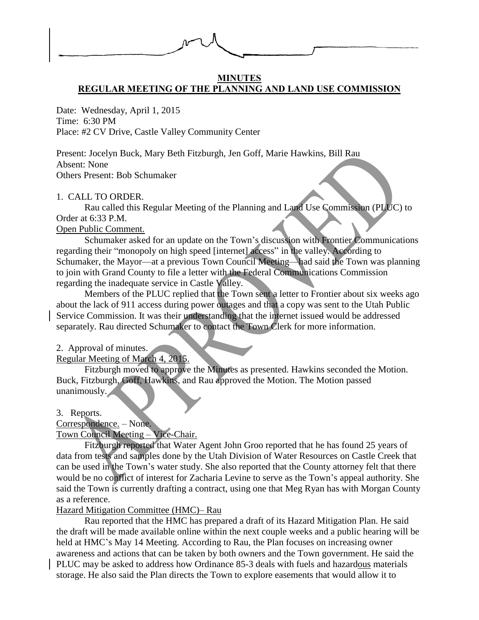

#### **MINUTES REGULAR MEETING OF THE PLANNING AND LAND USE COMMISSION**

Date: Wednesday, April 1, 2015 Time: 6:30 PM Place: #2 CV Drive, Castle Valley Community Center

Present: Jocelyn Buck, Mary Beth Fitzburgh, Jen Goff, Marie Hawkins, Bill Rau

Absent: None

Others Present: Bob Schumaker

# 1. CALL TO ORDER.

Rau called this Regular Meeting of the Planning and Land Use Commission (PLUC) to Order at 6:33 P.M.

# Open Public Comment.

Schumaker asked for an update on the Town's discussion with Frontier Communications regarding their "monopoly on high speed [internet] access" in the valley. According to Schumaker, the Mayor—at a previous Town Council Meeting—had said the Town was planning to join with Grand County to file a letter with the Federal Communications Commission regarding the inadequate service in Castle Valley.

Members of the PLUC replied that the Town sent a letter to Frontier about six weeks ago about the lack of 911 access during power outages and that a copy was sent to the Utah Public Service Commission. It was their understanding that the internet issued would be addressed separately. Rau directed Schumaker to contact the Town Clerk for more information.

### 2. Approval of minutes.

Regular Meeting of March 4, 2015.

Fitzburgh moved to approve the Minutes as presented. Hawkins seconded the Motion. Buck, Fitzburgh, Goff, Hawkins, and Rau approved the Motion. The Motion passed unanimously.

# 3. Reports.

### Correspondence. – None. Town Council Meeting – Vice-Chair.

Fitzburgh reported that Water Agent John Groo reported that he has found 25 years of data from tests and samples done by the Utah Division of Water Resources on Castle Creek that can be used in the Town's water study. She also reported that the County attorney felt that there would be no conflict of interest for Zacharia Levine to serve as the Town's appeal authority. She said the Town is currently drafting a contract, using one that Meg Ryan has with Morgan County as a reference.

# Hazard Mitigation Committee (HMC)– Rau

Rau reported that the HMC has prepared a draft of its Hazard Mitigation Plan. He said the draft will be made available online within the next couple weeks and a public hearing will be held at HMC's May 14 Meeting. According to Rau, the Plan focuses on increasing owner awareness and actions that can be taken by both owners and the Town government. He said the PLUC may be asked to address how Ordinance 85-3 deals with fuels and hazardous materials storage. He also said the Plan directs the Town to explore easements that would allow it to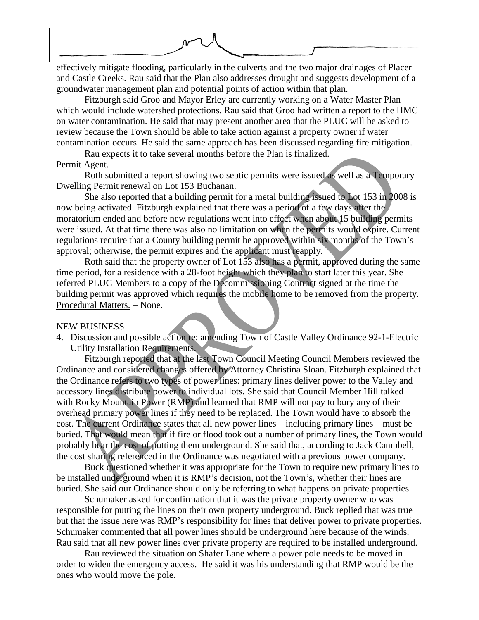effectively mitigate flooding, particularly in the culverts and the two major drainages of Placer

and Castle Creeks. Rau said that the Plan also addresses drought and suggests development of a groundwater management plan and potential points of action within that plan.

Fitzburgh said Groo and Mayor Erley are currently working on a Water Master Plan which would include watershed protections. Rau said that Groo had written a report to the HMC on water contamination. He said that may present another area that the PLUC will be asked to review because the Town should be able to take action against a property owner if water contamination occurs. He said the same approach has been discussed regarding fire mitigation.

Rau expects it to take several months before the Plan is finalized. Permit Agent.

Roth submitted a report showing two septic permits were issued as well as a Temporary Dwelling Permit renewal on Lot 153 Buchanan.

She also reported that a building permit for a metal building issued to Lot 153 in 2008 is now being activated. Fitzburgh explained that there was a period of a few days after the moratorium ended and before new regulations went into effect when about 15 building permits were issued. At that time there was also no limitation on when the permits would expire. Current regulations require that a County building permit be approved within six months of the Town's approval; otherwise, the permit expires and the applicant must reapply.

Roth said that the property owner of Lot 153 also has a permit, approved during the same time period, for a residence with a 28-foot height which they plan to start later this year. She referred PLUC Members to a copy of the Decommissioning Contract signed at the time the building permit was approved which requires the mobile home to be removed from the property. Procedural Matters. – None.

#### NEW BUSINESS

4. Discussion and possible action re: amending Town of Castle Valley Ordinance 92-1-Electric Utility Installation Requirements.

Fitzburgh reported that at the last Town Council Meeting Council Members reviewed the Ordinance and considered changes offered by Attorney Christina Sloan. Fitzburgh explained that the Ordinance refers to two types of power lines: primary lines deliver power to the Valley and accessory lines distribute power to individual lots. She said that Council Member Hill talked with Rocky Mountain Power (RMP) and learned that RMP will not pay to bury any of their overhead primary power lines if they need to be replaced. The Town would have to absorb the cost. The current Ordinance states that all new power lines—including primary lines—must be buried. That would mean that if fire or flood took out a number of primary lines, the Town would probably bear the cost of putting them underground. She said that, according to Jack Campbell, the cost sharing referenced in the Ordinance was negotiated with a previous power company.

Buck questioned whether it was appropriate for the Town to require new primary lines to be installed underground when it is RMP's decision, not the Town's, whether their lines are buried. She said our Ordinance should only be referring to what happens on private properties.

Schumaker asked for confirmation that it was the private property owner who was responsible for putting the lines on their own property underground. Buck replied that was true but that the issue here was RMP's responsibility for lines that deliver power to private properties. Schumaker commented that all power lines should be underground here because of the winds. Rau said that all new power lines over private property are required to be installed underground.

Rau reviewed the situation on Shafer Lane where a power pole needs to be moved in order to widen the emergency access. He said it was his understanding that RMP would be the ones who would move the pole.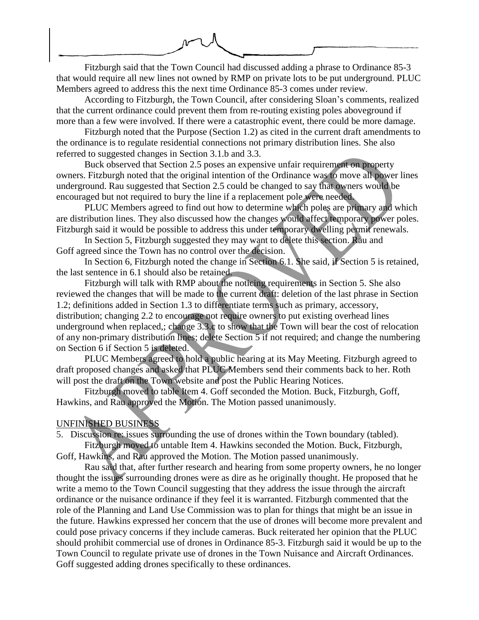

Fitzburgh said that the Town Council had discussed adding a phrase to Ordinance 85-3 that would require all new lines not owned by RMP on private lots to be put underground. PLUC Members agreed to address this the next time Ordinance 85-3 comes under review.

According to Fitzburgh, the Town Council, after considering Sloan's comments, realized that the current ordinance could prevent them from re-routing existing poles aboveground if more than a few were involved. If there were a catastrophic event, there could be more damage.

Fitzburgh noted that the Purpose (Section 1.2) as cited in the current draft amendments to the ordinance is to regulate residential connections not primary distribution lines. She also referred to suggested changes in Section 3.1.b and 3.3.

Buck observed that Section 2.5 poses an expensive unfair requirement on property owners. Fitzburgh noted that the original intention of the Ordinance was to move all power lines underground. Rau suggested that Section 2.5 could be changed to say that owners would be encouraged but not required to bury the line if a replacement pole were needed.

PLUC Members agreed to find out how to determine which poles are primary and which are distribution lines. They also discussed how the changes would affect temporary power poles. Fitzburgh said it would be possible to address this under temporary dwelling permit renewals.

In Section 5, Fitzburgh suggested they may want to delete this section. Rau and Goff agreed since the Town has no control over the decision.

In Section 6, Fitzburgh noted the change in Section 6.1. She said, if Section 5 is retained, the last sentence in 6.1 should also be retained.

Fitzburgh will talk with RMP about the noticing requirements in Section 5. She also reviewed the changes that will be made to the current draft: deletion of the last phrase in Section 1.2; definitions added in Section 1.3 to differentiate terms such as primary, accessory, distribution; changing 2.2 to encourage not require owners to put existing overhead lines underground when replaced,; change 3.3.c to show that the Town will bear the cost of relocation of any non-primary distribution lines; delete Section 5 if not required; and change the numbering on Section 6 if Section 5 is deleted.

PLUC Members agreed to hold a public hearing at its May Meeting. Fitzburgh agreed to draft proposed changes and asked that PLUC Members send their comments back to her. Roth will post the draft on the Town website and post the Public Hearing Notices.

Fitzburgh moved to table Item 4. Goff seconded the Motion. Buck, Fitzburgh, Goff, Hawkins, and Rau approved the Motion. The Motion passed unanimously.

### UNFINISHED BUSINESS

5. Discussion re: issues surrounding the use of drones within the Town boundary (tabled).

Fitzburgh moved to untable Item 4. Hawkins seconded the Motion. Buck, Fitzburgh, Goff, Hawkins, and Rau approved the Motion. The Motion passed unanimously.

Rau said that, after further research and hearing from some property owners, he no longer thought the issues surrounding drones were as dire as he originally thought. He proposed that he write a memo to the Town Council suggesting that they address the issue through the aircraft ordinance or the nuisance ordinance if they feel it is warranted. Fitzburgh commented that the role of the Planning and Land Use Commission was to plan for things that might be an issue in the future. Hawkins expressed her concern that the use of drones will become more prevalent and could pose privacy concerns if they include cameras. Buck reiterated her opinion that the PLUC should prohibit commercial use of drones in Ordinance 85-3. Fitzburgh said it would be up to the Town Council to regulate private use of drones in the Town Nuisance and Aircraft Ordinances. Goff suggested adding drones specifically to these ordinances.